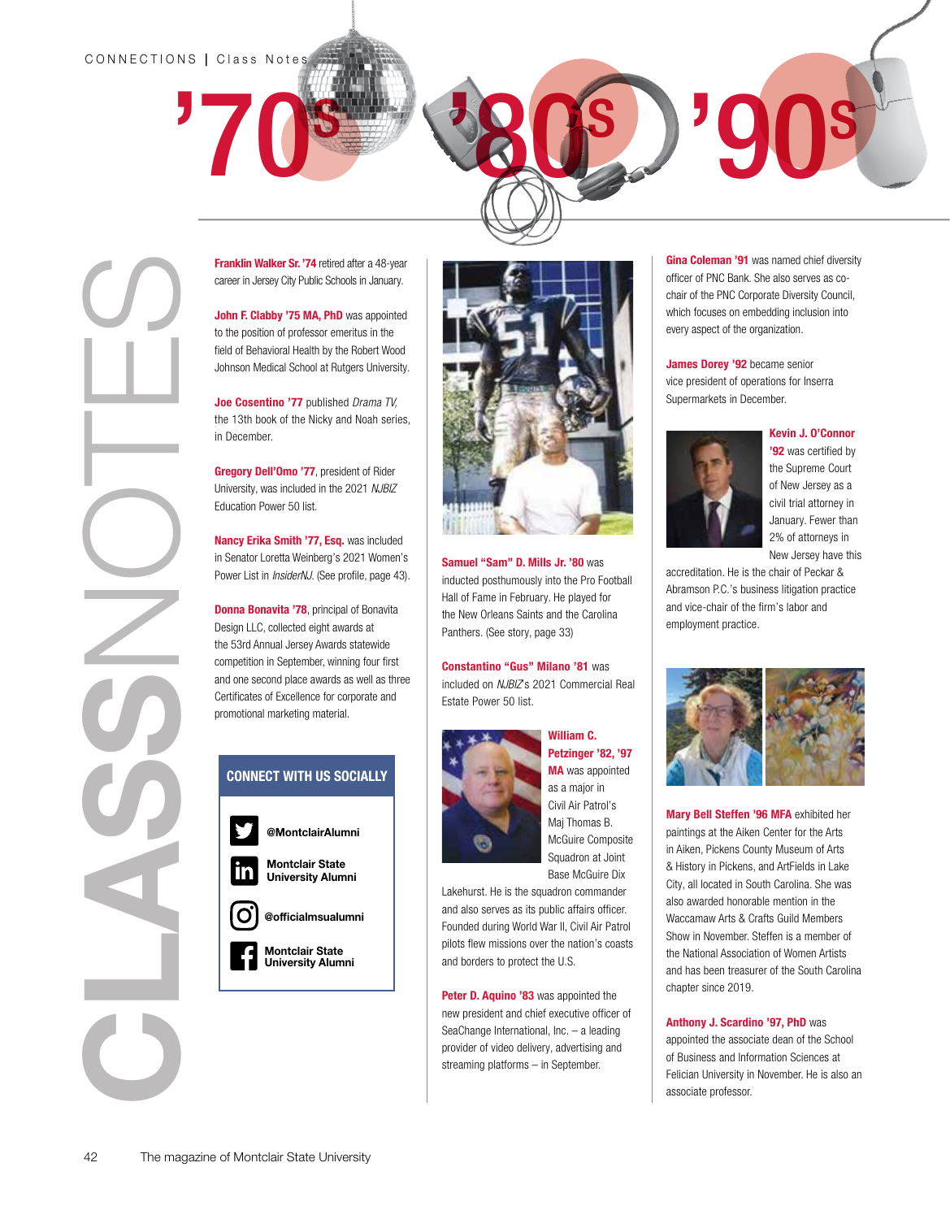#### CONNECTIONS | Class Note



career in Jersey City Public Schools in January.

John F. Clabby '75 MA, PhD was appointed to the position of professor emeritus in the field of Behavioral Health by the Robert Wood Johnson Medical School at Rutgers University.

Joe Cosentino '77 published *Drama TV,* the 13th book of the Nicky and Noah series, in December.

Gregory Dell'Omo '77, president of Rider University, was included in the 2021 *NJBIZ* Education Power 50 list.

Nancy Erika Smith '77, Esq. was included in Senator Loretta Weinberg's 2021 Women's Power List in *InsiderNJ*. (See profile, page 43).

**Donna Bonavita '78**, principal of Bonavita Design LLC, collected eight awards at the 53rd Annual Jersey Awards statewide competition in September, winning four first and one second place awards as well as three Certificates of Excellence for corporate and promotional marketing material.

#### CONNECT WITH US SOCIALLY





'80s

Samuel "Sam" D. Mills Jr. '80 was inducted posthumously into the Pro Football Hall of Fame in February. He played for the New Orleans Saints and the Carolina Panthers. (See story, page 33)

Constantino "Gus" Milano '81 was included on *NJBIZ*'s 2021 Commercial Real Estate Power 50 list.



William C. Petzinger '82, '97 MA was appointed as a major in Civil Air Patrol's Maj Thomas B. McGuire Composite Squadron at Joint Base McGuire Dix

Lakehurst. He is the squadron commander and also serves as its public affairs officer. Founded during World War II, Civil Air Patrol pilots flew missions over the nation's coasts and borders to protect the U.S.

Peter D. Aquino '83 was appointed the new president and chief executive officer of SeaChange International, Inc. – a leading provider of video delivery, advertising and streaming platforms – in September.

Gina Coleman '91 was named chief diversity officer of PNC Bank. She also serves as cochair of the PNC Corporate Diversity Council, which focuses on embedding inclusion into every aspect of the organization.

'90s

James Dorey '92 became senior vice president of operations for Inserra Supermarkets in December.



Kevin J. O'Connor

'92 was certified by the Supreme Court of New Jersey as a civil trial attorney in January. Fewer than 2% of attorneys in New Jersey have this

accreditation. He is the chair of Peckar & Abramson P.C.'s business litigation practice and vice-chair of the firm's labor and employment practice.



Mary Bell Steffen '96 MFA exhibited her paintings at the Aiken Center for the Arts in Aiken, Pickens County Museum of Arts & History in Pickens, and ArtFields in Lake City, all located in South Carolina. She was also awarded honorable mention in the Waccamaw Arts & Crafts Guild Members Show in November. Steffen is a member of the National Association of Women Artists and has been treasurer of the South Carolina chapter since 2019.

Anthony J. Scardino '97, PhD was

appointed the associate dean of the School of Business and Information Sciences at Felician University in November. He is also an associate professor.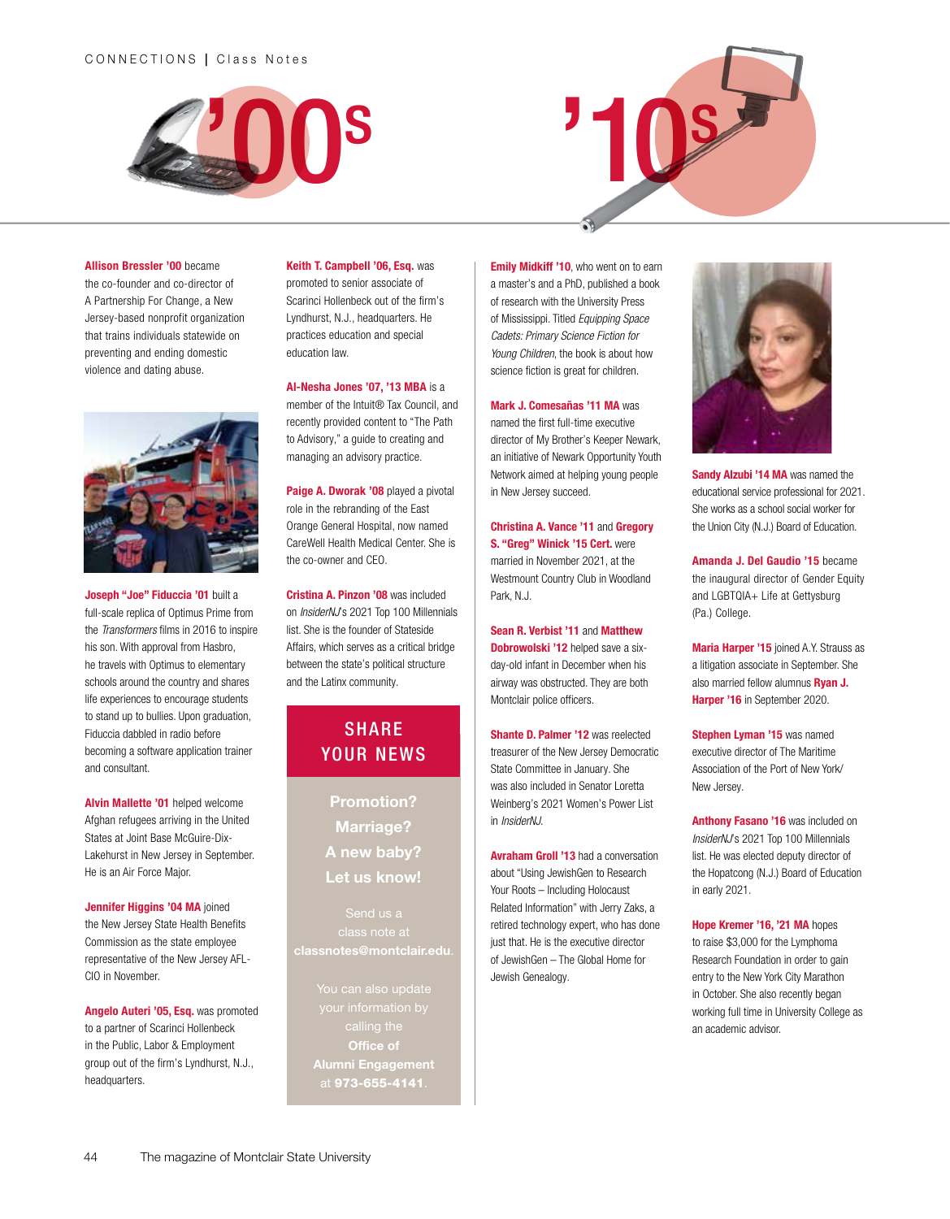#### CONNECTIONS | Class Notes





#### Allison Bressler '00 became

the co-founder and co-director of A Partnership For Change, a New Jersey-based nonprofit organization that trains individuals statewide on preventing and ending domestic violence and dating abuse.



Joseph "Joe" Fiduccia '01 built a full-scale replica of Optimus Prime from the *Transformers* films in 2016 to inspire his son. With approval from Hasbro, he travels with Optimus to elementary schools around the country and shares life experiences to encourage students to stand up to bullies. Upon graduation, Fiduccia dabbled in radio before becoming a software application trainer and consultant.

Alvin Mallette '01 helped welcome Afghan refugees arriving in the United States at Joint Base McGuire-Dix-Lakehurst in New Jersey in September. He is an Air Force Major.

Jennifer Higgins '04 MA joined the New Jersey State Health Benefits Commission as the state employee representative of the New Jersey AFL-CIO in November.

Angelo Auteri '05, Esq. was promoted to a partner of Scarinci Hollenbeck in the Public, Labor & Employment group out of the firm's Lyndhurst, N.J., headquarters.

#### Keith T. Campbell '06, Esq. was

promoted to senior associate of Scarinci Hollenbeck out of the firm's Lyndhurst, N.J., headquarters. He practices education and special education law.

Al-Nesha Jones '07, '13 MBA is a member of the Intuit® Tax Council, and recently provided content to "The Path to Advisory," a guide to creating and managing an advisory practice.

Paige A. Dworak '08 played a pivotal role in the rebranding of the East Orange General Hospital, now named CareWell Health Medical Center. She is the co-owner and CEO.

Cristina A. Pinzon '08 was included on *InsiderNJ*'s 2021 Top 100 Millennials list. She is the founder of Stateside Affairs, which serves as a critical bridge between the state's political structure and the Latinx community.

### **SHARE** YOUR NEWS

Promotion? Marriage? A new baby? Let us know!

class note at classnotes@montclair.edu.

> You can also update Office of at 973-655-4141.

**Emily Midkiff '10**, who went on to earn a master's and a PhD, published a book of research with the University Press of Mississippi. Titled *Equipping Space Cadets: Primary Science Fiction for Young Children*, the book is about how science fiction is great for children.

#### Mark J. Comesañas '11 MA was

named the first full-time executive director of My Brother's Keeper Newark, an initiative of Newark Opportunity Youth Network aimed at helping young people in New Jersey succeed.

Christina A. Vance '11 and Gregory S. "Greg" Winick '15 Cert. were married in November 2021, at the Westmount Country Club in Woodland Park, N.J.

Sean R. Verbist '11 and Matthew Dobrowolski '12 helped save a sixday-old infant in December when his airway was obstructed. They are both Montclair police officers.

Shante D. Palmer '12 was reelected treasurer of the New Jersey Democratic State Committee in January. She was also included in Senator Loretta Weinberg's 2021 Women's Power List in *InsiderNJ*.

**Avraham Groll '13** had a conversation about "Using JewishGen to Research Your Roots – Including Holocaust Related Information" with Jerry Zaks, a retired technology expert, who has done just that. He is the executive director of JewishGen – The Global Home for Jewish Genealogy.



Sandy Alzubi '14 MA was named the educational service professional for 2021. She works as a school social worker for the Union City (N.J.) Board of Education.

Amanda J. Del Gaudio '15 became the inaugural director of Gender Equity and LGBTQIA+ Life at Gettysburg (Pa.) College.

Maria Harper '15 joined A.Y. Strauss as a litigation associate in September. She also married fellow alumnus Ryan J. Harper '16 in September 2020.

Stephen Lyman '15 was named executive director of The Maritime Association of the Port of New York/ New Jersey.

Anthony Fasano '16 was included on *InsiderNJ*'s 2021 Top 100 Millennials list. He was elected deputy director of the Hopatcong (N.J.) Board of Education in early 2021.

Hope Kremer '16, '21 MA hopes to raise \$3,000 for the Lymphoma Research Foundation in order to gain entry to the New York City Marathon in October. She also recently began working full time in University College as an academic advisor.